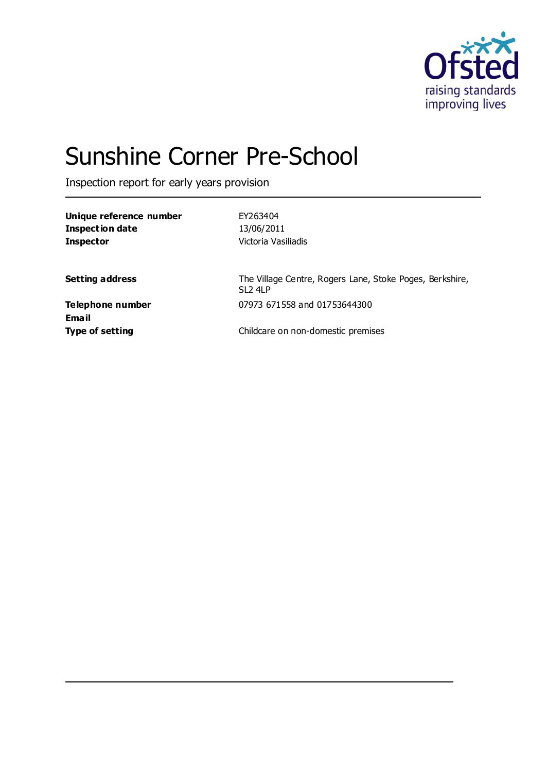

# Sunshine Corner Pre-School

Inspection report for early years provision

| Unique reference number | EY263404            |
|-------------------------|---------------------|
| Inspection date         | 13/06/2011          |
| Inspector               | Victoria Vasiliadis |
|                         |                     |

**Setting address** The Village Centre, Rogers Lane, Stoke Poges, Berkshire, SL2 4LP **Telephone number** 07973 671558 and 01753644300

**Email**

**Type of setting Childcare on non-domestic premises**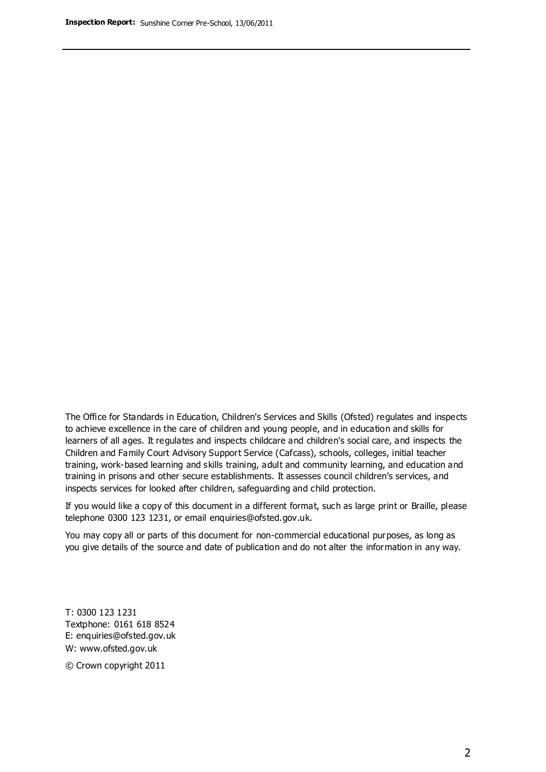The Office for Standards in Education, Children's Services and Skills (Ofsted) regulates and inspects to achieve excellence in the care of children and young people, and in education and skills for learners of all ages. It regulates and inspects childcare and children's social care, and inspects the Children and Family Court Advisory Support Service (Cafcass), schools, colleges, initial teacher training, work-based learning and skills training, adult and community learning, and education and training in prisons and other secure establishments. It assesses council children's services, and inspects services for looked after children, safeguarding and child protection.

If you would like a copy of this document in a different format, such as large print or Braille, please telephone 0300 123 1231, or email enquiries@ofsted.gov.uk.

You may copy all or parts of this document for non-commercial educational purposes, as long as you give details of the source and date of publication and do not alter the information in any way.

T: 0300 123 1231 Textphone: 0161 618 8524 E: enquiries@ofsted.gov.uk W: [www.ofsted.gov.uk](http://www.ofsted.gov.uk/)

© Crown copyright 2011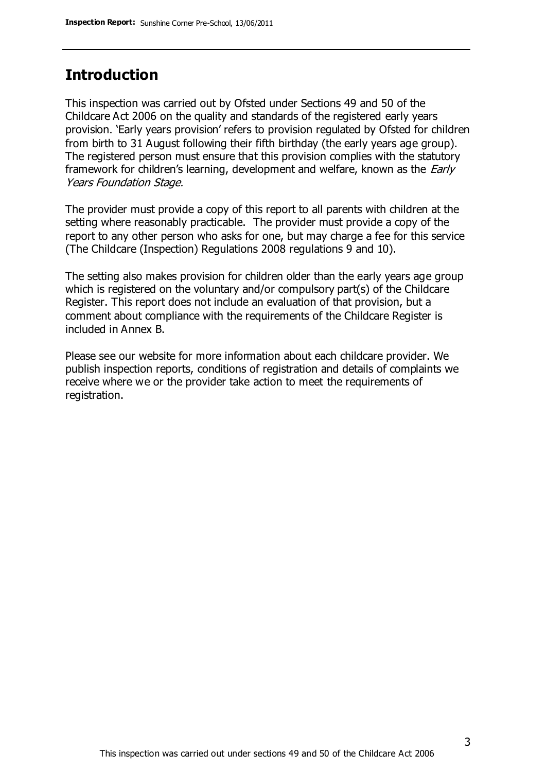# **Introduction**

This inspection was carried out by Ofsted under Sections 49 and 50 of the Childcare Act 2006 on the quality and standards of the registered early years provision. 'Early years provision' refers to provision regulated by Ofsted for children from birth to 31 August following their fifth birthday (the early years age group). The registered person must ensure that this provision complies with the statutory framework for children's learning, development and welfare, known as the *Early* Years Foundation Stage.

The provider must provide a copy of this report to all parents with children at the setting where reasonably practicable. The provider must provide a copy of the report to any other person who asks for one, but may charge a fee for this service (The Childcare (Inspection) Regulations 2008 regulations 9 and 10).

The setting also makes provision for children older than the early years age group which is registered on the voluntary and/or compulsory part(s) of the Childcare Register. This report does not include an evaluation of that provision, but a comment about compliance with the requirements of the Childcare Register is included in Annex B.

Please see our website for more information about each childcare provider. We publish inspection reports, conditions of registration and details of complaints we receive where we or the provider take action to meet the requirements of registration.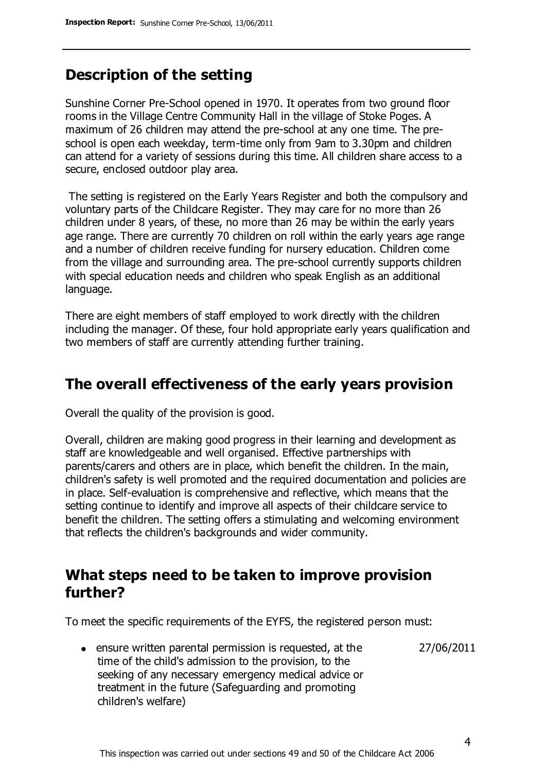## **Description of the setting**

Sunshine Corner Pre-School opened in 1970. It operates from two ground floor rooms in the Village Centre Community Hall in the village of Stoke Poges. A maximum of 26 children may attend the pre-school at any one time. The preschool is open each weekday, term-time only from 9am to 3.30pm and children can attend for a variety of sessions during this time. All children share access to a secure, enclosed outdoor play area.

The setting is registered on the Early Years Register and both the compulsory and voluntary parts of the Childcare Register. They may care for no more than 26 children under 8 years, of these, no more than 26 may be within the early years age range. There are currently 70 children on roll within the early years age range and a number of children receive funding for nursery education. Children come from the village and surrounding area. The pre-school currently supports children with special education needs and children who speak English as an additional language.

There are eight members of staff employed to work directly with the children including the manager. Of these, four hold appropriate early years qualification and two members of staff are currently attending further training.

## **The overall effectiveness of the early years provision**

Overall the quality of the provision is good.

Overall, children are making good progress in their learning and development as staff are knowledgeable and well organised. Effective partnerships with parents/carers and others are in place, which benefit the children. In the main, children's safety is well promoted and the required documentation and policies are in place. Self-evaluation is comprehensive and reflective, which means that the setting continue to identify and improve all aspects of their childcare service to benefit the children. The setting offers a stimulating and welcoming environment that reflects the children's backgrounds and wider community.

## **What steps need to be taken to improve provision further?**

To meet the specific requirements of the EYFS, the registered person must:

27/06/2011

ensure written parental permission is requested, at the time of the child's admission to the provision, to the seeking of any necessary emergency medical advice or treatment in the future (Safeguarding and promoting children's welfare)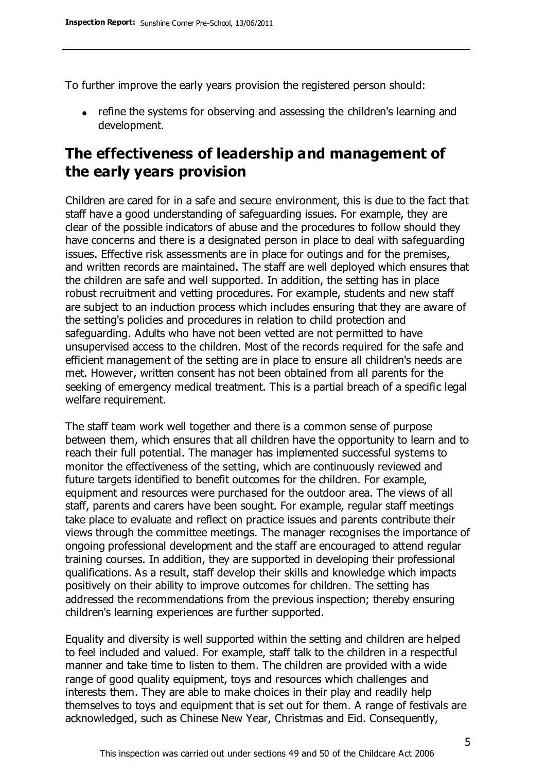To further improve the early years provision the registered person should:

• refine the systems for observing and assessing the children's learning and development.

# **The effectiveness of leadership and management of the early years provision**

Children are cared for in a safe and secure environment, this is due to the fact that staff have a good understanding of safeguarding issues. For example, they are clear of the possible indicators of abuse and the procedures to follow should they have concerns and there is a designated person in place to deal with safeguarding issues. Effective risk assessments are in place for outings and for the premises, and written records are maintained. The staff are well deployed which ensures that the children are safe and well supported. In addition, the setting has in place robust recruitment and vetting procedures. For example, students and new staff are subject to an induction process which includes ensuring that they are aware of the setting's policies and procedures in relation to child protection and safeguarding. Adults who have not been vetted are not permitted to have unsupervised access to the children. Most of the records required for the safe and efficient management of the setting are in place to ensure all children's needs are met. However, written consent has not been obtained from all parents for the seeking of emergency medical treatment. This is a partial breach of a specific legal welfare requirement.

The staff team work well together and there is a common sense of purpose between them, which ensures that all children have the opportunity to learn and to reach their full potential. The manager has implemented successful systems to monitor the effectiveness of the setting, which are continuously reviewed and future targets identified to benefit outcomes for the children. For example, equipment and resources were purchased for the outdoor area. The views of all staff, parents and carers have been sought. For example, regular staff meetings take place to evaluate and reflect on practice issues and parents contribute their views through the committee meetings. The manager recognises the importance of ongoing professional development and the staff are encouraged to attend regular training courses. In addition, they are supported in developing their professional qualifications. As a result, staff develop their skills and knowledge which impacts positively on their ability to improve outcomes for children. The setting has addressed the recommendations from the previous inspection; thereby ensuring children's learning experiences are further supported.

Equality and diversity is well supported within the setting and children are helped to feel included and valued. For example, staff talk to the children in a respectful manner and take time to listen to them. The children are provided with a wide range of good quality equipment, toys and resources which challenges and interests them. They are able to make choices in their play and readily help themselves to toys and equipment that is set out for them. A range of festivals are acknowledged, such as Chinese New Year, Christmas and Eid. Consequently,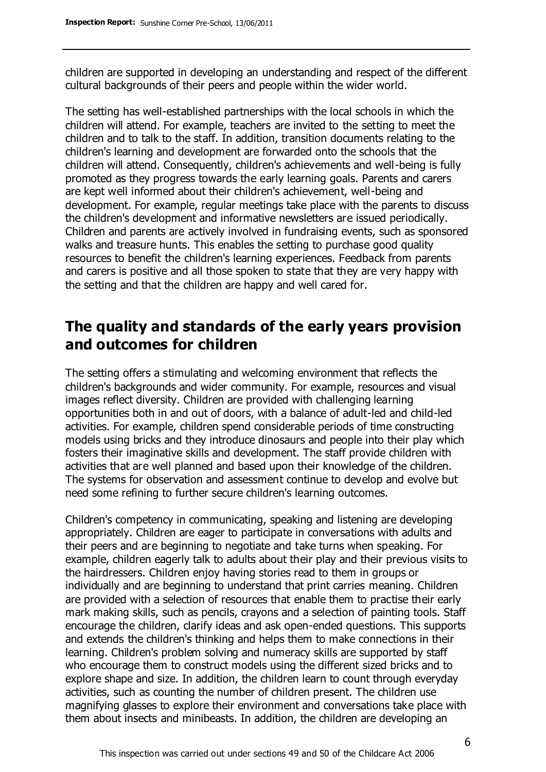children are supported in developing an understanding and respect of the different cultural backgrounds of their peers and people within the wider world.

The setting has well-established partnerships with the local schools in which the children will attend. For example, teachers are invited to the setting to meet the children and to talk to the staff. In addition, transition documents relating to the children's learning and development are forwarded onto the schools that the children will attend. Consequently, children's achievements and well-being is fully promoted as they progress towards the early learning goals. Parents and carers are kept well informed about their children's achievement, well-being and development. For example, regular meetings take place with the parents to discuss the children's development and informative newsletters are issued periodically. Children and parents are actively involved in fundraising events, such as sponsored walks and treasure hunts. This enables the setting to purchase good quality resources to benefit the children's learning experiences. Feedback from parents and carers is positive and all those spoken to state that they are very happy with the setting and that the children are happy and well cared for.

## **The quality and standards of the early years provision and outcomes for children**

The setting offers a stimulating and welcoming environment that reflects the children's backgrounds and wider community. For example, resources and visual images reflect diversity. Children are provided with challenging learning opportunities both in and out of doors, with a balance of adult-led and child-led activities. For example, children spend considerable periods of time constructing models using bricks and they introduce dinosaurs and people into their play which fosters their imaginative skills and development. The staff provide children with activities that are well planned and based upon their knowledge of the children. The systems for observation and assessment continue to develop and evolve but need some refining to further secure children's learning outcomes.

Children's competency in communicating, speaking and listening are developing appropriately. Children are eager to participate in conversations with adults and their peers and are beginning to negotiate and take turns when speaking. For example, children eagerly talk to adults about their play and their previous visits to the hairdressers. Children enjoy having stories read to them in groups or individually and are beginning to understand that print carries meaning. Children are provided with a selection of resources that enable them to practise their early mark making skills, such as pencils, crayons and a selection of painting tools. Staff encourage the children, clarify ideas and ask open-ended questions. This supports and extends the children's thinking and helps them to make connections in their learning. Children's problem solving and numeracy skills are supported by staff who encourage them to construct models using the different sized bricks and to explore shape and size. In addition, the children learn to count through everyday activities, such as counting the number of children present. The children use magnifying glasses to explore their environment and conversations take place with them about insects and minibeasts. In addition, the children are developing an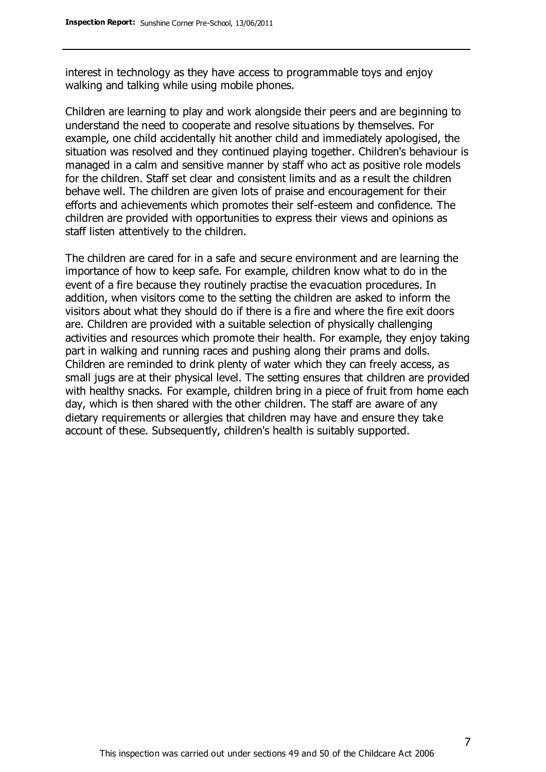interest in technology as they have access to programmable toys and enjoy walking and talking while using mobile phones.

Children are learning to play and work alongside their peers and are beginning to understand the need to cooperate and resolve situations by themselves. For example, one child accidentally hit another child and immediately apologised, the situation was resolved and they continued playing together. Children's behaviour is managed in a calm and sensitive manner by staff who act as positive role models for the children. Staff set clear and consistent limits and as a result the children behave well. The children are given lots of praise and encouragement for their efforts and achievements which promotes their self-esteem and confidence. The children are provided with opportunities to express their views and opinions as staff listen attentively to the children.

The children are cared for in a safe and secure environment and are learning the importance of how to keep safe. For example, children know what to do in the event of a fire because they routinely practise the evacuation procedures. In addition, when visitors come to the setting the children are asked to inform the visitors about what they should do if there is a fire and where the fire exit doors are. Children are provided with a suitable selection of physically challenging activities and resources which promote their health. For example, they enjoy taking part in walking and running races and pushing along their prams and dolls. Children are reminded to drink plenty of water which they can freely access, as small jugs are at their physical level. The setting ensures that children are provided with healthy snacks. For example, children bring in a piece of fruit from home each day, which is then shared with the other children. The staff are aware of any dietary requirements or allergies that children may have and ensure they take account of these. Subsequently, children's health is suitably supported.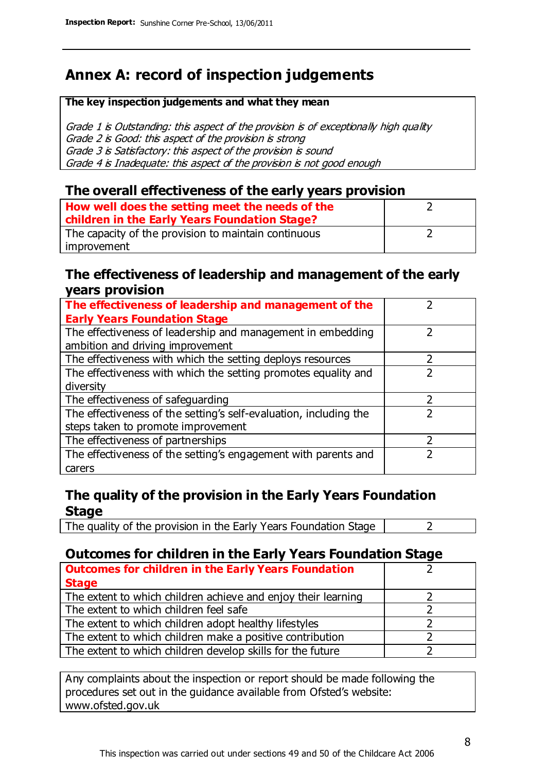# **Annex A: record of inspection judgements**

#### **The key inspection judgements and what they mean**

Grade 1 is Outstanding: this aspect of the provision is of exceptionally high quality Grade 2 is Good: this aspect of the provision is strong Grade 3 is Satisfactory: this aspect of the provision is sound Grade 4 is Inadequate: this aspect of the provision is not good enough

#### **The overall effectiveness of the early years provision**

| How well does the setting meet the needs of the<br>children in the Early Years Foundation Stage? |  |
|--------------------------------------------------------------------------------------------------|--|
| The capacity of the provision to maintain continuous                                             |  |
| improvement                                                                                      |  |

#### **The effectiveness of leadership and management of the early years provision**

| The effectiveness of leadership and management of the             |  |
|-------------------------------------------------------------------|--|
| <b>Early Years Foundation Stage</b>                               |  |
| The effectiveness of leadership and management in embedding       |  |
| ambition and driving improvement                                  |  |
| The effectiveness with which the setting deploys resources        |  |
| The effectiveness with which the setting promotes equality and    |  |
| diversity                                                         |  |
| The effectiveness of safeguarding                                 |  |
| The effectiveness of the setting's self-evaluation, including the |  |
| steps taken to promote improvement                                |  |
| The effectiveness of partnerships                                 |  |
| The effectiveness of the setting's engagement with parents and    |  |
| carers                                                            |  |

## **The quality of the provision in the Early Years Foundation Stage**

The quality of the provision in the Early Years Foundation Stage  $\vert$  2

## **Outcomes for children in the Early Years Foundation Stage**

| <b>Outcomes for children in the Early Years Foundation</b>    |  |
|---------------------------------------------------------------|--|
| <b>Stage</b>                                                  |  |
| The extent to which children achieve and enjoy their learning |  |
| The extent to which children feel safe                        |  |
| The extent to which children adopt healthy lifestyles         |  |
| The extent to which children make a positive contribution     |  |
| The extent to which children develop skills for the future    |  |

Any complaints about the inspection or report should be made following the procedures set out in the guidance available from Ofsted's website: www.ofsted.gov.uk